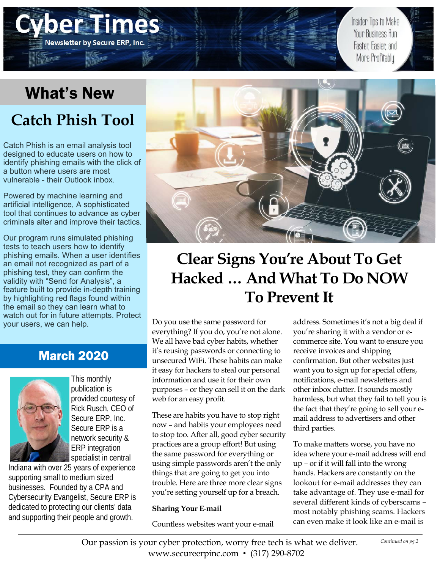## What's New

**Newsletter by Secure ERP, Inc.** 

## **Catch Phish Tool**

Catch Phish is an email analysis tool designed to educate users on how to identify phishing emails with the click of a button where users are most vulnerable - their Outlook inbox.

Powered by machine learning and artificial intelligence, A sophisticated tool that continues to advance as cyber criminals alter and improve their tactics.

Our program runs simulated phishing tests to teach users how to identify phishing emails. When a user identifies an email not recognized as part of a phishing test, they can confirm the validity with "Send for Analysis", a feature built to provide in-depth training by highlighting red flags found within the email so they can learn what to watch out for in future attempts. Protect your users, we can help.

### March 2020



This monthly publication is provided courtesy of Rick Rusch, CEO of Secure ERP, Inc. Secure ERP is a network security & ERP integration specialist in central

Indiana with over 25 years of experience supporting small to medium sized businesses. Founded by a CPA and Cybersecurity Evangelist, Secure ERP is dedicated to protecting our clients' data and supporting their people and growth.



## **Clear Signs You're About To Get Hacked … And What To Do NOW To Prevent It**

Do you use the same password for everything? If you do, you're not alone. We all have bad cyber habits, whether it's reusing passwords or connecting to unsecured WiFi. These habits can make it easy for hackers to steal our personal information and use it for their own purposes – or they can sell it on the dark web for an easy profit.

These are habits you have to stop right now – and habits your employees need to stop too. After all, good cyber security practices are a group effort! But using the same password for everything or using simple passwords aren't the only things that are going to get you into trouble. Here are three more clear signs you're setting yourself up for a breach.

#### **Sharing Your E-mail**

Countless websites want your e-mail

address. Sometimes it's not a big deal if you're sharing it with a vendor or ecommerce site. You want to ensure you receive invoices and shipping confirmation. But other websites just want you to sign up for special offers, notifications, e-mail newsletters and other inbox clutter. It sounds mostly harmless, but what they fail to tell you is the fact that they're going to sell your email address to advertisers and other third parties.

Insider Tips to Make **Your Business Run** 

Faster, Easier, and More Profitably

To make matters worse, you have no idea where your e-mail address will end up – or if it will fall into the wrong hands. Hackers are constantly on the lookout for e-mail addresses they can take advantage of. They use e-mail for several different kinds of cyberscams – most notably phishing scams. Hackers can even make it look like an e-mail is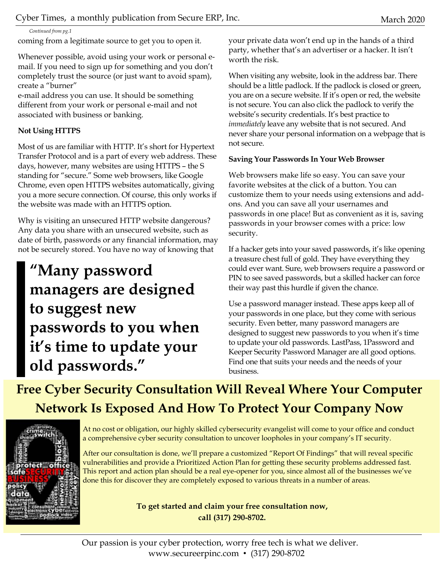*Continued from pg.1* 

coming from a legitimate source to get you to open it.

Whenever possible, avoid using your work or personal email. If you need to sign up for something and you don't completely trust the source (or just want to avoid spam), create a "burner"

e-mail address you can use. It should be something different from your work or personal e-mail and not associated with business or banking.

#### **Not Using HTTPS**

Most of us are familiar with HTTP. It's short for Hypertext Transfer Protocol and is a part of every web address. These days, however, many websites are using HTTPS – the S standing for "secure." Some web browsers, like Google Chrome, even open HTTPS websites automatically, giving you a more secure connection. Of course, this only works if the website was made with an HTTPS option.

Why is visiting an unsecured HTTP website dangerous? Any data you share with an unsecured website, such as date of birth, passwords or any financial information, may not be securely stored. You have no way of knowing that

### **"Many password managers are designed to suggest new passwords to you when it's time to update your old passwords."**

your private data won't end up in the hands of a third party, whether that's an advertiser or a hacker. It isn't worth the risk.

When visiting any website, look in the address bar. There should be a little padlock. If the padlock is closed or green, you are on a secure website. If it's open or red, the website is not secure. You can also click the padlock to verify the website's security credentials. It's best practice to *immediately* leave any website that is not secured. And never share your personal information on a webpage that is not secure.

#### **Saving Your Passwords In Your Web Browser**

Web browsers make life so easy. You can save your favorite websites at the click of a button. You can customize them to your needs using extensions and addons. And you can save all your usernames and passwords in one place! But as convenient as it is, saving passwords in your browser comes with a price: low security.

If a hacker gets into your saved passwords, it's like opening a treasure chest full of gold. They have everything they could ever want. Sure, web browsers require a password or PIN to see saved passwords, but a skilled hacker can force their way past this hurdle if given the chance.

Use a password manager instead. These apps keep all of your passwords in one place, but they come with serious security. Even better, many password managers are designed to suggest new passwords to you when it's time to update your old passwords. LastPass, 1Password and Keeper Security Password Manager are all good options. Find one that suits your needs and the needs of your business.

**Free Cyber Security Consultation Will Reveal Where Your Computer Network Is Exposed And How To Protect Your Company Now** 



At no cost or obligation, our highly skilled cybersecurity evangelist will come to your office and conduct a comprehensive cyber security consultation to uncover loopholes in your company's IT security.

After our consultation is done, we'll prepare a customized "Report Of Findings" that will reveal specific vulnerabilities and provide a Prioritized Action Plan for getting these security problems addressed fast. This report and action plan should be a real eye-opener for you, since almost all of the businesses we've done this for discover they are completely exposed to various threats in a number of areas.

> **To get started and claim your free consultation now, call (317) 290-8702.**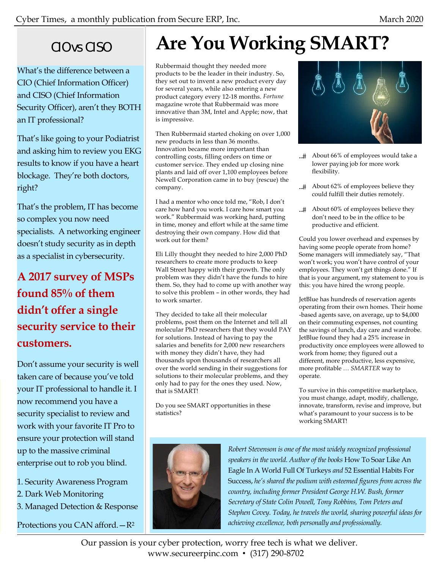### CIO vs CISO

What's the difference between a CIO (Chief Information Officer) and CISO (Chief Information Security Officer), aren't they BOTH an IT professional?

That's like going to your Podiatrist and asking him to review you EKG results to know if you have a heart blockage. They're both doctors, right?

That's the problem, IT has become so complex you now need specialists. A networking engineer doesn't study security as in depth as a specialist in cybersecurity.

### **A 2017 survey of MSPs found 85% of them didn't offer a single security service to their customers.**

Don't assume your security is well taken care of because you've told your IT professional to handle it. I now recommend you have a security specialist to review and work with your favorite IT Pro to ensure your protection will stand up to the massive criminal enterprise out to rob you blind.

- 1. Security Awareness Program
- 2. Dark Web Monitoring
- 3. Managed Detection & Response

Protections you CAN afford.—R2

# **Are You Working SMART?**

Rubbermaid thought they needed more products to be the leader in their industry. So, they set out to invent a new product every day for several years, while also entering a new product category every 12-18 months. *Fortune*  magazine wrote that Rubbermaid was more innovative than 3M, Intel and Apple; now, that is impressive.

Then Rubbermaid started choking on over 1,000 new products in less than 36 months. Innovation became more important than controlling costs, filling orders on time or customer service. They ended up closing nine plants and laid off over 1,100 employees before Newell Corporation came in to buy (rescue) the company.

I had a mentor who once told me, "Rob, I don't care how hard you work. I care how smart you work." Rubbermaid was working hard, putting in time, money and effort while at the same time destroying their own company. How did that work out for them?

Eli Lilly thought they needed to hire 2,000 PhD researchers to create more products to keep Wall Street happy with their growth. The only problem was they didn't have the funds to hire them. So, they had to come up with another way to solve this problem – in other words, they had to work smarter.

They decided to take all their molecular problems, post them on the Internet and tell all molecular PhD researchers that they would PAY for solutions. Instead of having to pay the salaries and benefits for 2,000 new researchers with money they didn't have, they had thousands upon thousands of researchers all over the world sending in their suggestions for solutions to their molecular problems, and they only had to pay for the ones they used. Now, that is SMART!

Do you see SMART opportunities in these statistics?



- ...# About 66% of employees would take a lower paying job for more work flexibility.
- ...# About 62% of employees believe they could fulfill their duties remotely.
- ...# About 60% of employees believe they don't need to be in the office to be productive and efficient.

Could you lower overhead and expenses by having some people operate from home? Some managers will immediately say, "That won't work; you won't have control of your employees. They won't get things done." If that is your argument, my statement to you is this: you have hired the wrong people.

JetBlue has hundreds of reservation agents operating from their own homes. Their home -based agents save, on average, up to \$4,000 on their commuting expenses, not counting the savings of lunch, day care and wardrobe. JetBlue found they had a 25% increase in productivity once employees were allowed to work from home; they figured out a different, more productive, less expensive, more profitable *… SMARTER* way to operate*.*

To survive in this competitive marketplace, you must change, adapt, modify, challenge, innovate, transform, revise and improve, but what's paramount to your success is to be working SMART!



*Robert Stevenson is one of the most widely recognized professional speakers in the world. Author of the books* How To Soar Like An Eagle In A World Full Of Turkeys *and* 52 Essential Habits For Success, *he's shared the podium with esteemed figures from across the country, including former President George H.W. Bush, former Secretary of State Colin Powell, Tony Robbins, Tom Peters and Stephen Covey. Today, he travels the world, sharing powerful ideas for achieving excellence, both personally and professionally.* 

Our passion is your cyber protection, worry free tech is what we deliver. www.secureerpinc.com • (317) 290-8702